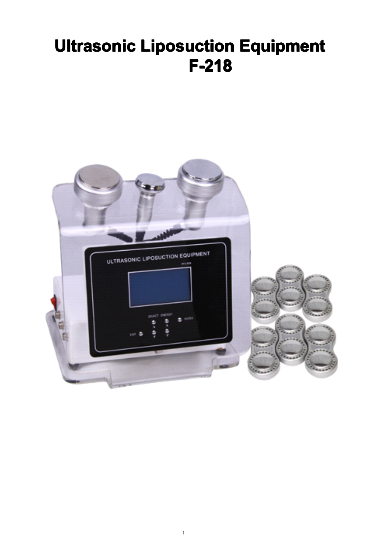# **Ultrasonic Liposuction Equipment F-218**



1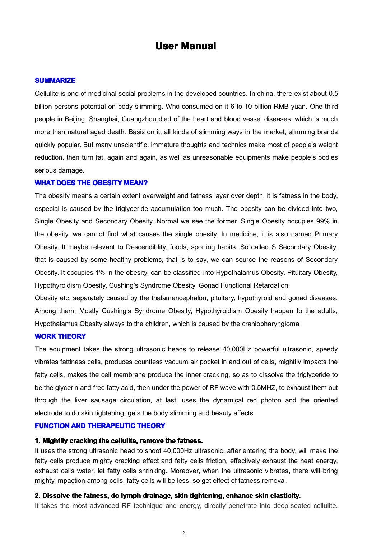## **User Manual**

#### **SUMMARIZE**

Cellulite is one of medicinal social problems in the developed countries. In china, there exist about 0.5 billion persons potential on body slimming. Who consumed on it 6 to 10 billion RMB yuan. One third people in Beijing, Shanghai, Guangzhou died of the heart and blood vessel diseases, which is much more than natural aged death. Basis on it, all kinds of slimming ways in the market, slimming brands quickly popular. But many unscientific, immature thoughts and technics make most of people's weight reduction, then turn fat, again and again, as well as unreasonable equipments make people's bodies serious damage.

#### **WHAT DOES THE OBESITY MEAN?**

The obesity means <sup>a</sup> certain extent overweight and fatness layer over depth, it is fatness in the body, especial is caused by the triglyceride accumulation too much. The obesity can be divided into two, Single Obesity and Secondary Obesity. Normal we see the former. Single Obesity occupies 99% in the obesity, wecannot find what causes the single obesity. In medicine, it is also named Primary Obesity. It maybe relevant to Descendiblity, foods, sporting habits. So called S Secondary Obesity, that is caused by some healthy problems, that is to say, we can source the reasons of Secondary Obesity. It occupies 1% in the obesity, can be classified into Hypothalamus Obesity, Pituitary Obesity, Hypothyroidism Obesity, Cushing's Syndrome Obesity, Gonad Functional Retardation

Obesity etc, separately caused by the thalamencephalon, pituitary, hypothyroid and gonad diseases. Among them. Mostly Cushing's Syndrome Obesity, Hypothyroidism Obesity happen to the adults, Hypothalamus Obesity always to the children, which is caused by the craniopharyngioma

#### **WORK THEORY**

The equipment takes the strong ultrasonic heads to release 40,000Hz powerful ultrasonic, speedy vibrates fattiness cells, produces countless vacuum air pocket in and out of cells, mightily impacts the fatty cells, makes the cell membrane produce the inner cracking, so as to dissolve the triglyceride to be the glycerin and free fatty acid, then under the power of RF wave with 0.5MHZ, to exhaust them out through the liver sausage circulation, at last, uses the dynamical red photon and the oriented electrode to do skin tightening, gets the body slimming and beauty effects.

#### **FUNCTION FUNCTIONAND THERAPEUTIC THEORY**

#### **1. Mightily cracking the cellulite, remove the fatness.**

It uses the strong ultrasonic head to shoot 40,000Hz ultrasonic, after entering the body, will make the fatty cells produce mighty cracking effect and fatty cells friction, effectively exhaust the heat energy, exhaust cells water, let fatty cells shrinking. Moreover, when the ultrasonic vibrates, there will bring mighty impaction among cells, fatty cells will be less, so get effect of fatness removal.

#### 2. Dissolve the fatness, do lymph drainage, skin tightening, enhance skin elasticity.

It takes the most advanced RF technique and energy, directly penetrate into deep-seated cellulite.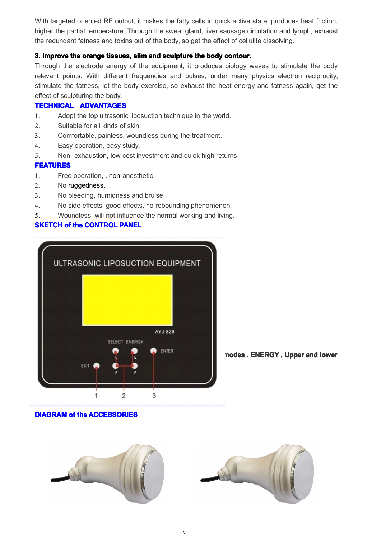With targeted oriented RF output, it makes the fatty cells in quick active state, produces heat friction, higher the partial temperature. Through the sweat gland, liver sausage circulation and lymph, exhaust the redundant fatness and toxins out of the body, so get the effect of cellulite dissolving.

## **3. Improve Improvethe orange tissues, tissues,slim and sculpture sculpturesculpturethe body contour. contour.contour.**

Through the electrode energy of the equipment, it produces biology waves to stimulate the body relevant points. With different frequencies and pulses, under many physics electron reciprocity, stimulate the fatness, let the body exercise, so exhaust the heat energy and fatness again, get the effect of sculpturing the body.

## **TECHNICAL ADVANTAGES**

- 1. Adopt the top ultrasonic liposuction technique in the world.
- 2. Suitable for all kinds of skin.
- 3. Comfortable, painless, woundless during the treatment.
- 4. Easy operation, easy study.
- 5. Non- exhaustion, low cost investment and quick high returns.

#### **FEATURES FEATURES**

- 1. Free operation, . non-anesthetic.
- 2. No ruggedness.
- 3. No bleeding, humidness and bruise.
- 4. No side effects, good effects, no rebounding phenomenon.
- 5. Woundless, will not influence the normal working and living.

## **SKETCH of the CONTROL PANEL**



#### modes. ENERGY, Upper and lower

## **DIAGRAM of the ACCESSORIES**

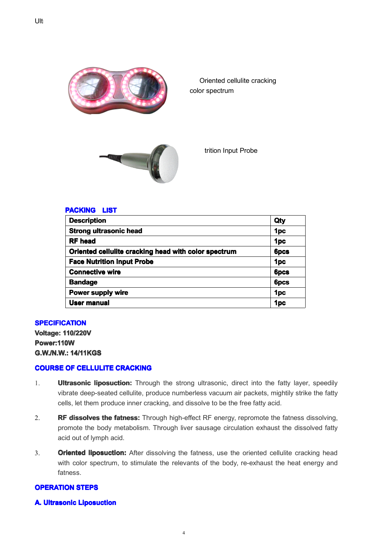

Oriented cellulite cracking color spectrum



trition Input Probe

#### **PACKING LIST**

| <b>Description</b>                                   | Qty             |
|------------------------------------------------------|-----------------|
| <b>Strong ultrasonic head</b>                        | 1 <sub>pc</sub> |
| <b>RF</b> head                                       | 1 <sub>pc</sub> |
| Oriented cellulite cracking head with color spectrum | <b>6pcs</b>     |
| <b>Face Nutrition Input Probe</b>                    | 1 <sub>pc</sub> |
| <b>Connective wire</b>                               | <b>6pcs</b>     |
| <b>Bandage</b>                                       | <b>6pcs</b>     |
| Power supply wire                                    | 1 <sub>pc</sub> |
| User manual                                          | 1pc             |

#### **SPECIFICATION**

**Voltage: Voltage:Voltage:Voltage:110/220V 110/220V Power:110W Power:110W G.W./N.W.: G.W./N.W.:14/11KGS**

#### **COURSE OF CELLULITE CELLULITE CRACKING CRACKING**

- 1. **Ultrasonic liposuction:** Through the strong ultrasonic, direct into the fatty layer, speedily vibrate deep-seated cellulite, produce numberless vacuum air packets, mightily strike the fatty cells, let them produce inner cracking, and dissolve to be the free fatty acid.
- 2. **RF dissolves dissolvesthe fatness:** Through high-effect RF energy, repromote the fatness dissolving, promote the body metabolism. Through liver sausage circulation exhaust the dissolved fatty acid out of lymph acid.
- 3. **Oriented liposuction:** After dissolving the fatness, use the oriented cellulite cracking head with color spectrum, to stimulate the relevants of the body, re-exhaust the heat energy and fatness.

#### **OPERATION OPERATION STEPS**

#### **A.** Ultrasonic Liposuction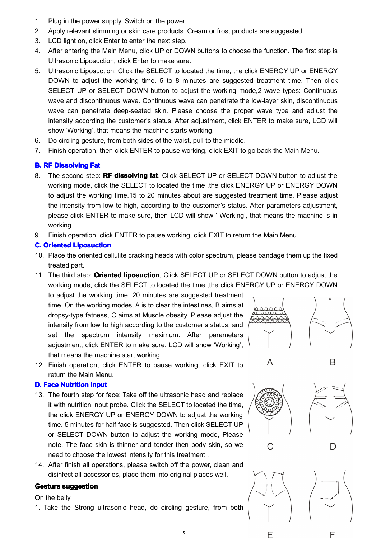- 1. Plug in the power supply. Switch on the power.
- 2. Apply relevant slimming or skin care products. Cream or frost products are suggested.
- 3. LCD light on, click Enter to enter the next step.
- 4. After entering the Main Menu, click UP or DOWN buttons to choose the function. The first step is Ultrasonic Liposuction, click Enter to make sure.
- 5. Ultrasonic Liposuction: Click the SELECT to located the time, the click ENERGY UP or ENERGY DOWN to adjust the working time. 5 to 8 minutes are suggested treatment time. Then click SELECT UP or SELECT DOWN button to adjust the working mode,2 wave types: Continuous wave and discontinuous wave. Continuous wave can penetrate the low-layer skin, discontinuous wave can penetrate deep-seated skin. Please choose the proper wave type and adjust the intensity according the customer's status. After adjustment, click ENTER to make sure, LCD will show 'Working', that means the machine starts working.
- 6. Do circling gesture, from both sides of thewaist, pull to the middle.
- 7. Finish operation, then click ENTER to pause working, click EXIT to go back the Main Menu.

## **B.** RF Dissolving Fat

- 8. The second step: **RF dissolving fat**. Click SELECT UP or SELECT DOWN button to adjust the working mode, click the SELECT to located the time ,the click ENERGY UP or ENERGY DOWN to adjust the working time.15 to 20 minutes about are suggested treatment time. Please adjust the intensity from low to high, according to the customer's status. After parameters adjustment, please click ENTER to make sure, then LCD will show ' Working', that means the machine is in working.
- 9. Finish operation, click ENTER to pause working, click EXIT to return the Main Menu.

## **C.** Oriented Liposuction

- 10. Place the oriented cellulite cracking heads with color spectrum, please bandage them up the fixed treated part.
- 11. The third step: **Oriented liposuction**, Click SELECT UP or SELECT DOWN button to adjust the working mode, click the SELECT to located the time ,the click ENERGY UP or ENERGY DOWN

to adjust the working time. 20 minutes are suggested treatment time. On the working modes, A is to clear the intestines, B aims at dropsy-type fatness, C aims at Muscle obesity. Please adjust the intensity from low to high according to the customer's status, and set the spectrum intensity maximum. After parameters adjustment, click ENTER to make sure, LCD will show 'Working', that means the machine start working.

12. Finish operation, click ENTER to pause working, click EXIT to return the Main Menu.

## **D. Face Nutrition Input**

- 13. The fourth step for face: Take off the ultrasonic head and replace it with nutrition input probe. Click the SELECT to located the time, the click ENERGY UP or ENERGY DOWN to adjust the working time. 5 minutes for half face is suggested. Then click SELECT UP or SELECT DOWN button to adjust the working mode, Please note, The face skin is thinner and tender then body skin, so we need to choose the lowest intensity for this treatment .
- 14. After finish all operations, please switch off the power, clean and disinfect all accessories, place them into original places well.

#### **Gesture suggestion**

On the belly

1. Take the Strong ultrasonic head, do circling gesture, from both





A



B



5